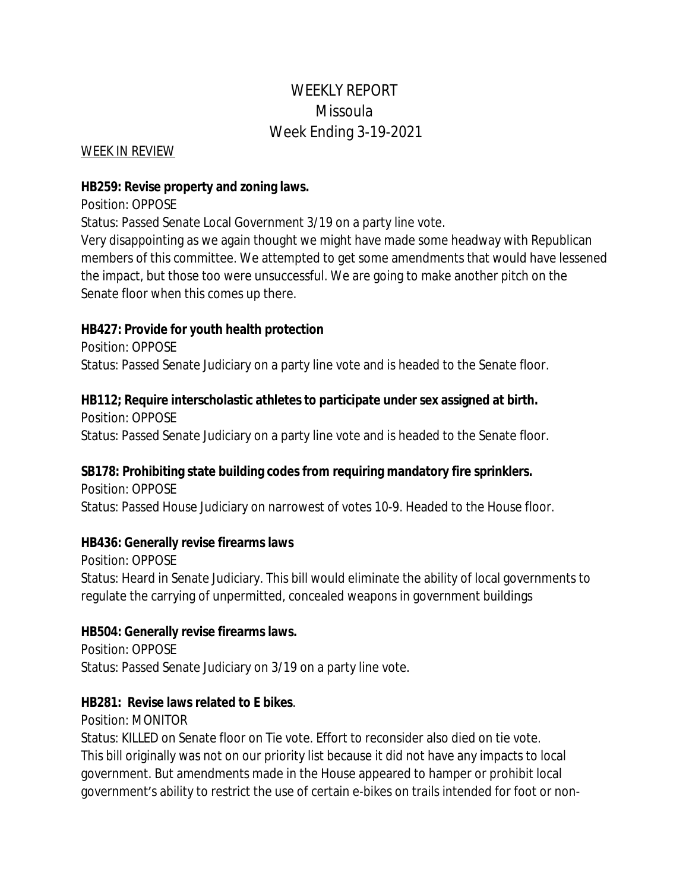# WEEKLY REPORT Missoula Week Ending 3-19-2021

#### WEEK IN REVIEW

#### **HB259: Revise property and zoning laws.**

Position: OPPOSE

Status: Passed Senate Local Government 3/19 on a party line vote.

Very disappointing as we again thought we might have made some headway with Republican members of this committee. We attempted to get some amendments that would have lessened the impact, but those too were unsuccessful. We are going to make another pitch on the Senate floor when this comes up there.

### **HB427: Provide for youth health protection**

Position: OPPOSE Status: Passed Senate Judiciary on a party line vote and is headed to the Senate floor.

### **HB112; Require interscholastic athletes to participate under sex assigned at birth.**

Position: OPPOSE Status: Passed Senate Judiciary on a party line vote and is headed to the Senate floor.

### **SB178: Prohibiting state building codes from requiring mandatory fire sprinklers.**

Position: OPPOSE Status: Passed House Judiciary on narrowest of votes 10-9. Headed to the House floor.

### **HB436: Generally revise firearms laws**

Position: OPPOSE Status: Heard in Senate Judiciary. This bill would eliminate the ability of local governments to regulate the carrying of unpermitted, concealed weapons in government buildings

### **HB504: Generally revise firearms laws.**

Position: OPPOSE Status: Passed Senate Judiciary on 3/19 on a party line vote.

### **HB281: Revise laws related to E bikes**.

Position: MONITOR

Status: KILLED on Senate floor on Tie vote. Effort to reconsider also died on tie vote. This bill originally was not on our priority list because it did not have any impacts to local government. But amendments made in the House appeared to hamper or prohibit local government's ability to restrict the use of certain e-bikes on trails intended for foot or non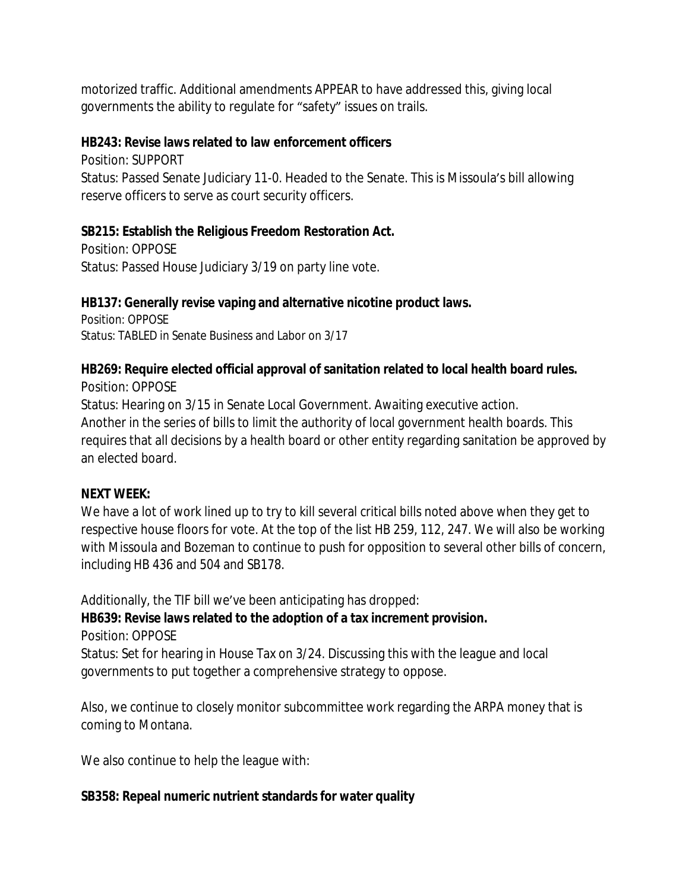motorized traffic. Additional amendments APPEAR to have addressed this, giving local governments the ability to regulate for "safety" issues on trails.

### **HB243: Revise laws related to law enforcement officers**

Position: SUPPORT Status: Passed Senate Judiciary 11-0. Headed to the Senate. This is Missoula's bill allowing reserve officers to serve as court security officers.

## **SB215: Establish the Religious Freedom Restoration Act.**

Position: OPPOSE Status: Passed House Judiciary 3/19 on party line vote.

## **HB137: Generally revise vaping and alternative nicotine product laws.**

Position: OPPOSE Status: TABLED in Senate Business and Labor on 3/17

#### **HB269: Require elected official approval of sanitation related to local health board rules.** Position: OPPOSE

Status: Hearing on 3/15 in Senate Local Government. Awaiting executive action. Another in the series of bills to limit the authority of local government health boards. This requires that all decisions by a health board or other entity regarding sanitation be approved by an elected board.

## **NEXT WEEK:**

We have a lot of work lined up to try to kill several critical bills noted above when they get to respective house floors for vote. At the top of the list HB 259, 112, 247. We will also be working with Missoula and Bozeman to continue to push for opposition to several other bills of concern, including HB 436 and 504 and SB178.

Additionally, the TIF bill we've been anticipating has dropped:

**HB639: Revise laws related to the adoption of a tax increment provision.** Position: OPPOSE

Status: Set for hearing in House Tax on 3/24. Discussing this with the league and local governments to put together a comprehensive strategy to oppose.

Also, we continue to closely monitor subcommittee work regarding the ARPA money that is coming to Montana.

We also continue to help the league with:

## **SB358: Repeal numeric nutrient standards for water quality**